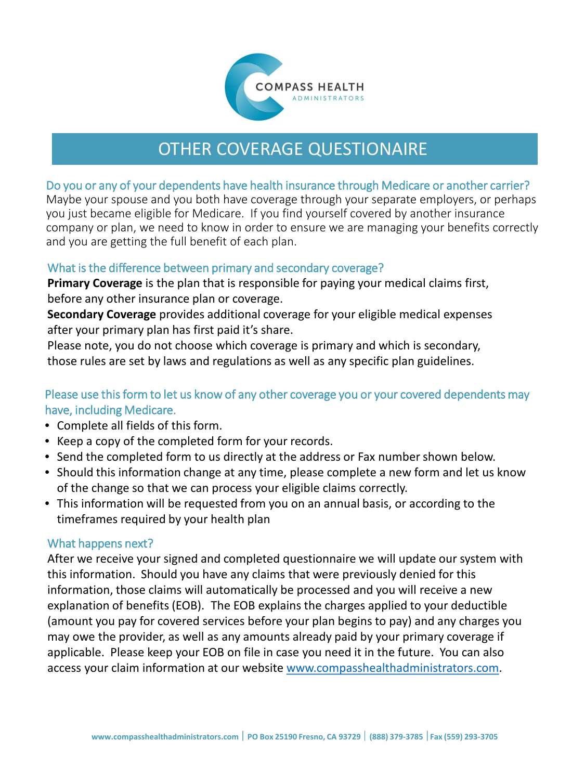

## OTHER COVERAGE QUESTIONAIRE

## Do you or any of your dependents have health insurance through Medicare or another carrier?

Maybe your spouse and you both have coverage through your separate employers, or perhaps you just became eligible for Medicare. If you find yourself covered by another insurance company or plan, we need to know in order to ensure we are managing your benefits correctly and you are getting the full benefit of each plan.

## What is the difference between primary and secondary coverage?

**Primary Coverage** is the plan that is responsible for paying your medical claims first, before any other insurance plan or coverage.

**Secondary Coverage** provides additional coverage for your eligible medical expenses after your primary plan has first paid it's share.

Please note, you do not choose which coverage is primary and which is secondary, those rules are set by laws and regulations as well as any specific plan guidelines.

Please use this form to let us know of any other coverage you or your covered dependents may have, including Medicare.

- Complete all fields of this form.
- Keep a copy of the completed form for your records.
- Send the completed form to us directly at the address or Fax number shown below.
- Should this information change at any time, please complete a new form and let us know of the change so that we can process your eligible claims correctly.
- This information will be requested from you on an annual basis, or according to the timeframes required by your health plan

## What happens next?

After we receive your signed and completed questionnaire we will update our system with this information. Should you have any claims that were previously denied for this information, those claims will automatically be processed and you will receive a new explanation of benefits (EOB). The EOB explains the charges applied to your deductible (amount you pay for covered services before your plan begins to pay) and any charges you may owe the provider, as well as any amounts already paid by your primary coverage if applicable. Please keep your EOB on file in case you need it in the future. You can also access your claim information at our website [www.compasshealthadministrators.com.](http://www.compasshealthadministrators.com/)